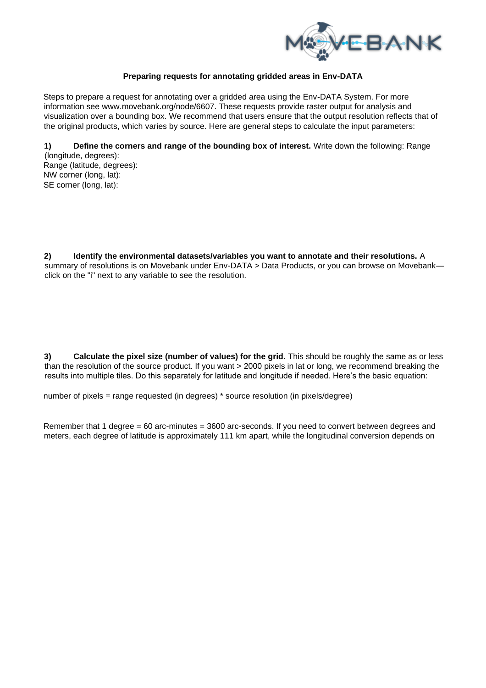

## **Preparing requests for annotating gridded areas in Env-DATA**

Steps to prepare a request for annotating over a gridded area using the Env-DATA System. For more information see www.movebank.org/node/6607. These requests provide raster output for analysis and visualization over a bounding box. We recommend that users ensure that the output resolution reflects that of the original products, which varies by source. Here are general steps to calculate the input parameters:

**1) Define the corners and range of the bounding box of interest.** Write down the following: Range

(longitude, degrees): Range (latitude, degrees): NW corner (long, lat): SE corner (long, lat):

**2) Identify the environmental datasets/variables you want to annotate and their resolutions.** A summary of resolutions is on Movebank under Env-DATA > Data Products, or you can browse on Movebank click on the "i" next to any variable to see the resolution.

**3) Calculate the pixel size (number of values) for the grid.** This should be roughly the same as or less than the resolution of the source product. If you want > 2000 pixels in lat or long, we recommend breaking the results into multiple tiles. Do this separately for latitude and longitude if needed. Here's the basic equation:

number of pixels = range requested (in degrees) \* source resolution (in pixels/degree)

Remember that 1 degree = 60 arc-minutes = 3600 arc-seconds. If you need to convert between degrees and meters, each degree of latitude is approximately 111 km apart, while the longitudinal conversion depends on